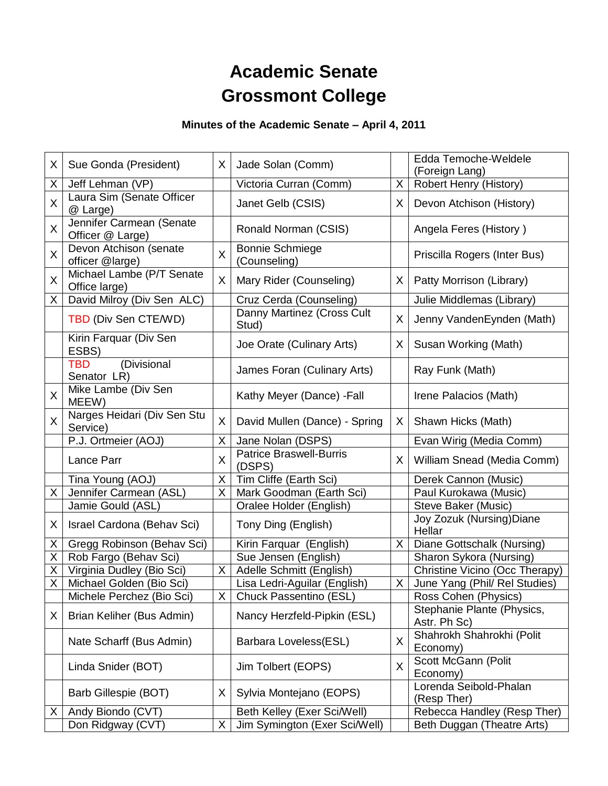# **Academic Senate Grossmont College**

## **Minutes of the Academic Senate – April 4, 2011**

| X | Sue Gonda (President)                        | X | Jade Solan (Comm)                        |    | Edda Temoche-Weldele<br>(Foreign Lang)     |
|---|----------------------------------------------|---|------------------------------------------|----|--------------------------------------------|
| X | Jeff Lehman (VP)                             |   | Victoria Curran (Comm)                   | X  | Robert Henry (History)                     |
| X | Laura Sim (Senate Officer<br>@ Large)        |   | Janet Gelb (CSIS)                        | X  | Devon Atchison (History)                   |
| X | Jennifer Carmean (Senate<br>Officer @ Large) |   | Ronald Norman (CSIS)                     |    | Angela Feres (History)                     |
| X | Devon Atchison (senate<br>officer @large)    | X | <b>Bonnie Schmiege</b><br>(Counseling)   |    | Priscilla Rogers (Inter Bus)               |
| X | Michael Lambe (P/T Senate<br>Office large)   | X | Mary Rider (Counseling)                  | X. | Patty Morrison (Library)                   |
| X | David Milroy (Div Sen ALC)                   |   | Cruz Cerda (Counseling)                  |    | Julie Middlemas (Library)                  |
|   | TBD (Div Sen CTE/WD)                         |   | Danny Martinez (Cross Cult<br>Stud)      | X  | Jenny VandenEynden (Math)                  |
|   | Kirin Farquar (Div Sen<br>ESBS)              |   | Joe Orate (Culinary Arts)                | X. | Susan Working (Math)                       |
|   | (Divisional<br><b>TBD</b><br>Senator LR)     |   | James Foran (Culinary Arts)              |    | Ray Funk (Math)                            |
| X | Mike Lambe (Div Sen<br>MEEW)                 |   | Kathy Meyer (Dance) - Fall               |    | Irene Palacios (Math)                      |
| X | Narges Heidari (Div Sen Stu<br>Service)      | X | David Mullen (Dance) - Spring            | X. | Shawn Hicks (Math)                         |
|   | P.J. Ortmeier (AOJ)                          | X | Jane Nolan (DSPS)                        |    | Evan Wirig (Media Comm)                    |
|   | Lance Parr                                   | X | <b>Patrice Braswell-Burris</b><br>(DSPS) | X. | William Snead (Media Comm)                 |
|   | Tina Young (AOJ)                             | X | Tim Cliffe (Earth Sci)                   |    | Derek Cannon (Music)                       |
| X | Jennifer Carmean (ASL)                       | Χ | Mark Goodman (Earth Sci)                 |    | Paul Kurokawa (Music)                      |
|   | Jamie Gould (ASL)                            |   | Oralee Holder (English)                  |    | Steve Baker (Music)                        |
| X | Israel Cardona (Behav Sci)                   |   | Tony Ding (English)                      |    | Joy Zozuk (Nursing) Diane<br>Hellar        |
| Χ | Gregg Robinson (Behav Sci)                   |   | Kirin Farquar (English)                  | X  | Diane Gottschalk (Nursing)                 |
| X | Rob Fargo (Behav Sci)                        |   | Sue Jensen (English)                     |    | Sharon Sykora (Nursing)                    |
| X | Virginia Dudley (Bio Sci)                    | Χ | Adelle Schmitt (English)                 |    | Christine Vicino (Occ Therapy)             |
| X | Michael Golden (Bio Sci)                     |   | Lisa Ledri-Aguilar (English)             | X  | June Yang (Phil/ Rel Studies)              |
|   | Michele Perchez (Bio Sci)                    | х | Chuck Passentino (ESL)                   |    | Ross Cohen (Physics)                       |
| X | Brian Keliher (Bus Admin)                    |   | Nancy Herzfeld-Pipkin (ESL)              |    | Stephanie Plante (Physics,<br>Astr. Ph Sc) |
|   | Nate Scharff (Bus Admin)                     |   | Barbara Loveless(ESL)                    | X  | Shahrokh Shahrokhi (Polit<br>Economy)      |
|   | Linda Snider (BOT)                           |   | Jim Tolbert (EOPS)                       | X  | Scott McGann (Polit<br>Economy)            |
|   | Barb Gillespie (BOT)                         | X | Sylvia Montejano (EOPS)                  |    | Lorenda Seibold-Phalan<br>(Resp Ther)      |
| X | Andy Biondo (CVT)                            |   | Beth Kelley (Exer Sci/Well)              |    | Rebecca Handley (Resp Ther)                |
|   | Don Ridgway (CVT)                            | X | Jim Symington (Exer Sci/Well)            |    | Beth Duggan (Theatre Arts)                 |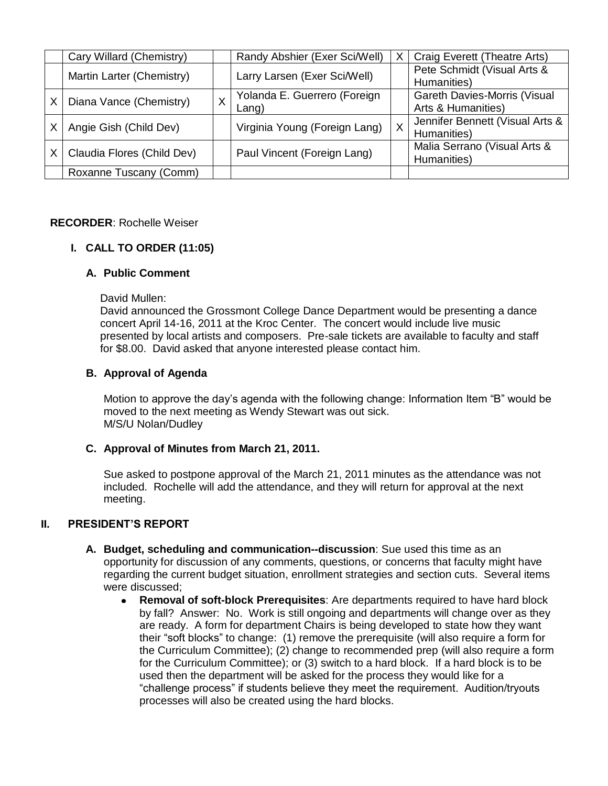|   | Cary Willard (Chemistry)   |  | Randy Abshier (Exer Sci/Well) | $\times$ | Craig Everett (Theatre Arts)        |
|---|----------------------------|--|-------------------------------|----------|-------------------------------------|
|   | Martin Larter (Chemistry)  |  | Larry Larsen (Exer Sci/Well)  |          | Pete Schmidt (Visual Arts &         |
|   |                            |  |                               |          | Humanities)                         |
| х | Diana Vance (Chemistry)    |  | Yolanda E. Guerrero (Foreign  |          | <b>Gareth Davies-Morris (Visual</b> |
|   |                            |  | $L$ ang)                      |          | Arts & Humanities)                  |
|   | Angie Gish (Child Dev)     |  | Virginia Young (Foreign Lang) | $X$ .    | Jennifer Bennett (Visual Arts &     |
|   |                            |  |                               |          | Humanities)                         |
| х | Claudia Flores (Child Dev) |  | Paul Vincent (Foreign Lang)   |          | Malia Serrano (Visual Arts &        |
|   |                            |  |                               |          | Humanities)                         |
|   | Roxanne Tuscany (Comm)     |  |                               |          |                                     |

#### **RECORDER**: Rochelle Weiser

## **I. CALL TO ORDER (11:05)**

#### **A. Public Comment**

David Mullen:

David announced the Grossmont College Dance Department would be presenting a dance concert April 14-16, 2011 at the Kroc Center. The concert would include live music presented by local artists and composers. Pre-sale tickets are available to faculty and staff for \$8.00. David asked that anyone interested please contact him.

#### **B. Approval of Agenda**

Motion to approve the day's agenda with the following change: Information Item "B" would be moved to the next meeting as Wendy Stewart was out sick. M/S/U Nolan/Dudley

## **C. Approval of Minutes from March 21, 2011.**

Sue asked to postpone approval of the March 21, 2011 minutes as the attendance was not included. Rochelle will add the attendance, and they will return for approval at the next meeting.

## **II. PRESIDENT'S REPORT**

- **A. Budget, scheduling and communication--discussion**: Sue used this time as an opportunity for discussion of any comments, questions, or concerns that faculty might have regarding the current budget situation, enrollment strategies and section cuts. Several items were discussed;
	- **Removal of soft-block Prerequisites**: Are departments required to have hard block  $\bullet$ by fall? Answer: No. Work is still ongoing and departments will change over as they are ready. A form for department Chairs is being developed to state how they want their "soft blocks" to change: (1) remove the prerequisite (will also require a form for the Curriculum Committee); (2) change to recommended prep (will also require a form for the Curriculum Committee); or (3) switch to a hard block. If a hard block is to be used then the department will be asked for the process they would like for a "challenge process" if students believe they meet the requirement. Audition/tryouts processes will also be created using the hard blocks.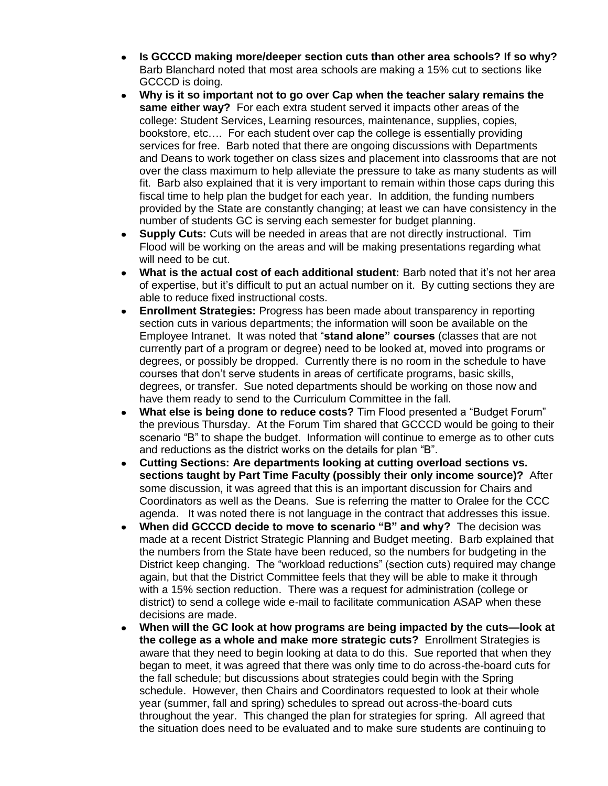- **Is GCCCD making more/deeper section cuts than other area schools? If so why?** Barb Blanchard noted that most area schools are making a 15% cut to sections like GCCCD is doing.
- **Why is it so important not to go over Cap when the teacher salary remains the same either way?** For each extra student served it impacts other areas of the college: Student Services, Learning resources, maintenance, supplies, copies, bookstore, etc…. For each student over cap the college is essentially providing services for free. Barb noted that there are ongoing discussions with Departments and Deans to work together on class sizes and placement into classrooms that are not over the class maximum to help alleviate the pressure to take as many students as will fit. Barb also explained that it is very important to remain within those caps during this fiscal time to help plan the budget for each year. In addition, the funding numbers provided by the State are constantly changing; at least we can have consistency in the number of students GC is serving each semester for budget planning.
- **Supply Cuts:** Cuts will be needed in areas that are not directly instructional. Tim Flood will be working on the areas and will be making presentations regarding what will need to be cut.
- **What is the actual cost of each additional student:** Barb noted that it's not her area of expertise, but it's difficult to put an actual number on it. By cutting sections they are able to reduce fixed instructional costs.
- **Enrollment Strategies:** Progress has been made about transparency in reporting section cuts in various departments; the information will soon be available on the Employee Intranet. It was noted that "**stand alone‖ courses** (classes that are not currently part of a program or degree) need to be looked at, moved into programs or degrees, or possibly be dropped. Currently there is no room in the schedule to have courses that don't serve students in areas of certificate programs, basic skills, degrees, or transfer. Sue noted departments should be working on those now and have them ready to send to the Curriculum Committee in the fall.
- **What else is being done to reduce costs?** Tim Flood presented a "Budget Forum" the previous Thursday. At the Forum Tim shared that GCCCD would be going to their scenario "B" to shape the budget. Information will continue to emerge as to other cuts and reductions as the district works on the details for plan "B".
- **Cutting Sections: Are departments looking at cutting overload sections vs. sections taught by Part Time Faculty (possibly their only income source)?** After some discussion, it was agreed that this is an important discussion for Chairs and Coordinators as well as the Deans. Sue is referring the matter to Oralee for the CCC agenda. It was noted there is not language in the contract that addresses this issue.
- **When did GCCCD decide to move to scenario "B" and why?** The decision was made at a recent District Strategic Planning and Budget meeting. Barb explained that the numbers from the State have been reduced, so the numbers for budgeting in the District keep changing. The "workload reductions" (section cuts) required may change again, but that the District Committee feels that they will be able to make it through with a 15% section reduction. There was a request for administration (college or district) to send a college wide e-mail to facilitate communication ASAP when these decisions are made.
- **When will the GC look at how programs are being impacted by the cuts—look at the college as a whole and make more strategic cuts?** Enrollment Strategies is aware that they need to begin looking at data to do this. Sue reported that when they began to meet, it was agreed that there was only time to do across-the-board cuts for the fall schedule; but discussions about strategies could begin with the Spring schedule. However, then Chairs and Coordinators requested to look at their whole year (summer, fall and spring) schedules to spread out across-the-board cuts throughout the year. This changed the plan for strategies for spring. All agreed that the situation does need to be evaluated and to make sure students are continuing to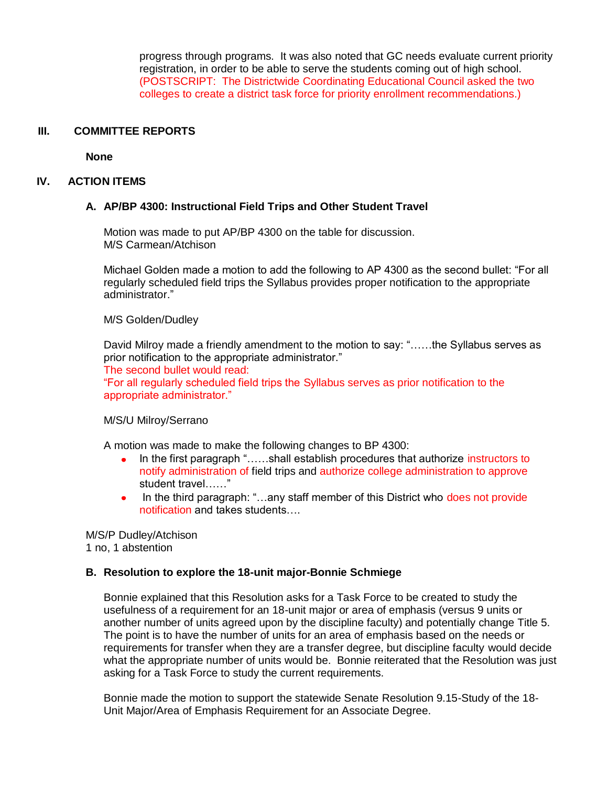progress through programs. It was also noted that GC needs evaluate current priority registration, in order to be able to serve the students coming out of high school. (POSTSCRIPT: The Districtwide Coordinating Educational Council asked the two colleges to create a district task force for priority enrollment recommendations.)

#### **III. COMMITTEE REPORTS**

**None**

#### **IV. ACTION ITEMS**

#### **A. AP/BP 4300: Instructional Field Trips and Other Student Travel**

Motion was made to put AP/BP 4300 on the table for discussion. M/S Carmean/Atchison

Michael Golden made a motion to add the following to AP 4300 as the second bullet: "For all regularly scheduled field trips the Syllabus provides proper notification to the appropriate administrator."

#### M/S Golden/Dudley

David Milroy made a friendly amendment to the motion to say: "……the Syllabus serves as prior notification to the appropriate administrator."

The second bullet would read:

"For all regularly scheduled field trips the Syllabus serves as prior notification to the appropriate administrator."

#### M/S/U Milroy/Serrano

A motion was made to make the following changes to BP 4300:

- In the first paragraph "……shall establish procedures that authorize instructors to notify administration of field trips and authorize college administration to approve student travel……"
- In the third paragraph: "…any staff member of this District who does not provide notification and takes students….

M/S/P Dudley/Atchison 1 no, 1 abstention

#### **B. Resolution to explore the 18-unit major-Bonnie Schmiege**

Bonnie explained that this Resolution asks for a Task Force to be created to study the usefulness of a requirement for an 18-unit major or area of emphasis (versus 9 units or another number of units agreed upon by the discipline faculty) and potentially change Title 5. The point is to have the number of units for an area of emphasis based on the needs or requirements for transfer when they are a transfer degree, but discipline faculty would decide what the appropriate number of units would be. Bonnie reiterated that the Resolution was just asking for a Task Force to study the current requirements.

Bonnie made the motion to support the statewide Senate Resolution 9.15-Study of the 18- Unit Major/Area of Emphasis Requirement for an Associate Degree.